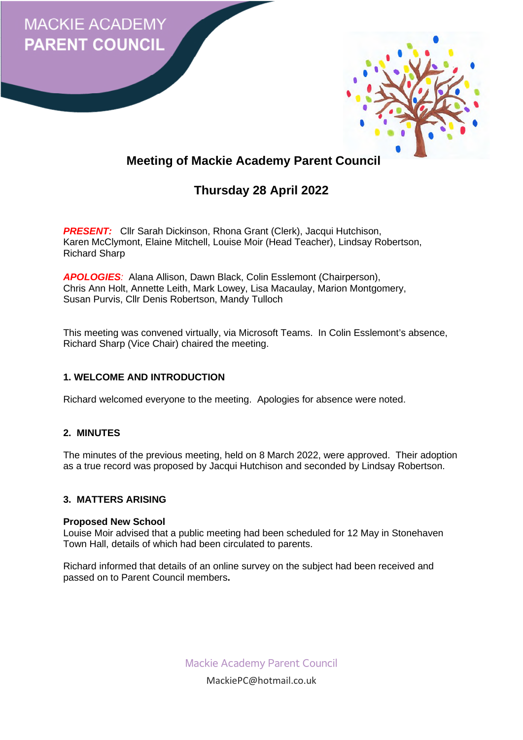



# **Meeting of Mackie Academy Parent Council**

# **Thursday 28 April 2022**

**PRESENT:** Cllr Sarah Dickinson, Rhona Grant (Clerk), Jacqui Hutchison, Karen McClymont, Elaine Mitchell, Louise Moir (Head Teacher), Lindsay Robertson, Richard Sharp

*APOLOGIES:* Alana Allison, Dawn Black, Colin Esslemont (Chairperson), Chris Ann Holt, Annette Leith, Mark Lowey, Lisa Macaulay, Marion Montgomery, Susan Purvis, Cllr Denis Robertson, Mandy Tulloch

This meeting was convened virtually, via Microsoft Teams. In Colin Esslemont's absence, Richard Sharp (Vice Chair) chaired the meeting.

# **1. WELCOME AND INTRODUCTION**

Richard welcomed everyone to the meeting. Apologies for absence were noted.

# **2. MINUTES**

The minutes of the previous meeting, held on 8 March 2022, were approved. Their adoption as a true record was proposed by Jacqui Hutchison and seconded by Lindsay Robertson.

# **3. MATTERS ARISING**

#### **Proposed New School**

Louise Moir advised that a public meeting had been scheduled for 12 May in Stonehaven Town Hall, details of which had been circulated to parents.

Richard informed that details of an online survey on the subject had been received and passed on to Parent Council members**.** 

Mackie Academy Parent Council

MackiePC@hotmail.co.uk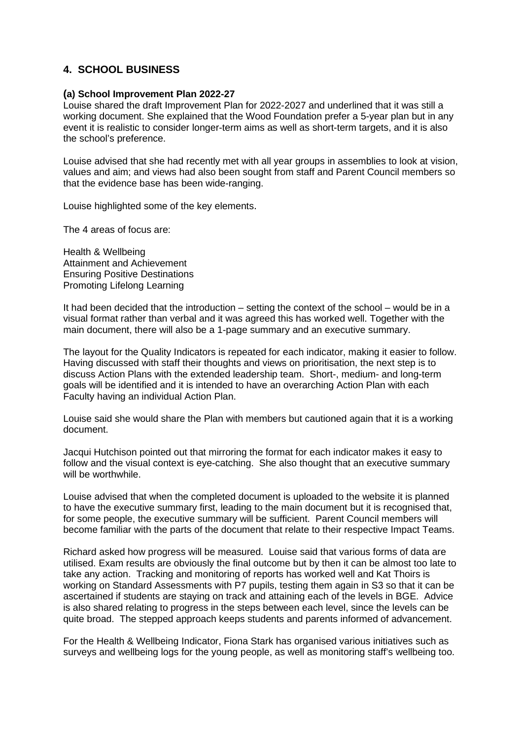# **4. SCHOOL BUSINESS**

#### **(a) School Improvement Plan 2022-27**

Louise shared the draft Improvement Plan for 2022-2027 and underlined that it was still a working document. She explained that the Wood Foundation prefer a 5-year plan but in any event it is realistic to consider longer-term aims as well as short-term targets, and it is also the school's preference.

Louise advised that she had recently met with all year groups in assemblies to look at vision, values and aim; and views had also been sought from staff and Parent Council members so that the evidence base has been wide-ranging.

Louise highlighted some of the key elements.

The 4 areas of focus are:

Health & Wellbeing Attainment and Achievement Ensuring Positive Destinations Promoting Lifelong Learning

It had been decided that the introduction – setting the context of the school – would be in a visual format rather than verbal and it was agreed this has worked well. Together with the main document, there will also be a 1-page summary and an executive summary.

The layout for the Quality Indicators is repeated for each indicator, making it easier to follow. Having discussed with staff their thoughts and views on prioritisation, the next step is to discuss Action Plans with the extended leadership team. Short-, medium- and long-term goals will be identified and it is intended to have an overarching Action Plan with each Faculty having an individual Action Plan.

Louise said she would share the Plan with members but cautioned again that it is a working document.

Jacqui Hutchison pointed out that mirroring the format for each indicator makes it easy to follow and the visual context is eye-catching. She also thought that an executive summary will be worthwhile.

Louise advised that when the completed document is uploaded to the website it is planned to have the executive summary first, leading to the main document but it is recognised that, for some people, the executive summary will be sufficient. Parent Council members will become familiar with the parts of the document that relate to their respective Impact Teams.

Richard asked how progress will be measured. Louise said that various forms of data are utilised. Exam results are obviously the final outcome but by then it can be almost too late to take any action. Tracking and monitoring of reports has worked well and Kat Thoirs is working on Standard Assessments with P7 pupils, testing them again in S3 so that it can be ascertained if students are staying on track and attaining each of the levels in BGE. Advice is also shared relating to progress in the steps between each level, since the levels can be quite broad. The stepped approach keeps students and parents informed of advancement.

For the Health & Wellbeing Indicator, Fiona Stark has organised various initiatives such as surveys and wellbeing logs for the young people, as well as monitoring staff's wellbeing too.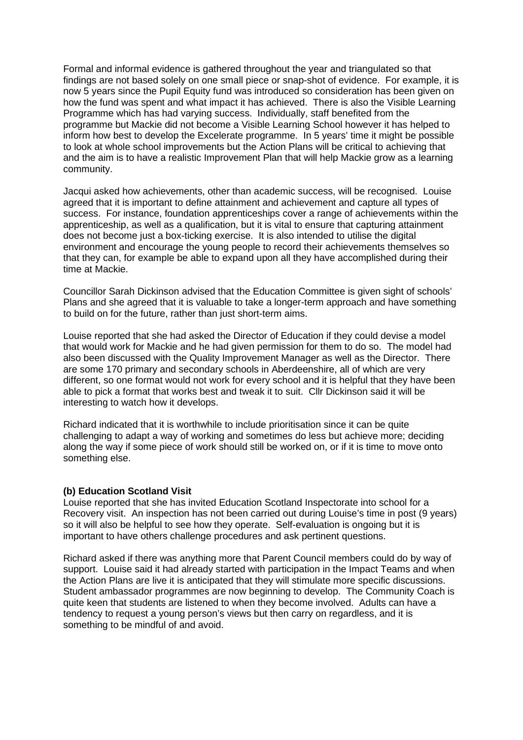Formal and informal evidence is gathered throughout the year and triangulated so that findings are not based solely on one small piece or snap-shot of evidence. For example, it is now 5 years since the Pupil Equity fund was introduced so consideration has been given on how the fund was spent and what impact it has achieved. There is also the Visible Learning Programme which has had varying success. Individually, staff benefited from the programme but Mackie did not become a Visible Learning School however it has helped to inform how best to develop the Excelerate programme. In 5 years' time it might be possible to look at whole school improvements but the Action Plans will be critical to achieving that and the aim is to have a realistic Improvement Plan that will help Mackie grow as a learning community.

Jacqui asked how achievements, other than academic success, will be recognised. Louise agreed that it is important to define attainment and achievement and capture all types of success. For instance, foundation apprenticeships cover a range of achievements within the apprenticeship, as well as a qualification, but it is vital to ensure that capturing attainment does not become just a box-ticking exercise. It is also intended to utilise the digital environment and encourage the young people to record their achievements themselves so that they can, for example be able to expand upon all they have accomplished during their time at Mackie.

Councillor Sarah Dickinson advised that the Education Committee is given sight of schools' Plans and she agreed that it is valuable to take a longer-term approach and have something to build on for the future, rather than just short-term aims.

Louise reported that she had asked the Director of Education if they could devise a model that would work for Mackie and he had given permission for them to do so. The model had also been discussed with the Quality Improvement Manager as well as the Director. There are some 170 primary and secondary schools in Aberdeenshire, all of which are very different, so one format would not work for every school and it is helpful that they have been able to pick a format that works best and tweak it to suit. Cllr Dickinson said it will be interesting to watch how it develops.

Richard indicated that it is worthwhile to include prioritisation since it can be quite challenging to adapt a way of working and sometimes do less but achieve more; deciding along the way if some piece of work should still be worked on, or if it is time to move onto something else.

#### **(b) Education Scotland Visit**

Louise reported that she has invited Education Scotland Inspectorate into school for a Recovery visit. An inspection has not been carried out during Louise's time in post (9 years) so it will also be helpful to see how they operate. Self-evaluation is ongoing but it is important to have others challenge procedures and ask pertinent questions.

Richard asked if there was anything more that Parent Council members could do by way of support. Louise said it had already started with participation in the Impact Teams and when the Action Plans are live it is anticipated that they will stimulate more specific discussions. Student ambassador programmes are now beginning to develop. The Community Coach is quite keen that students are listened to when they become involved. Adults can have a tendency to request a young person's views but then carry on regardless, and it is something to be mindful of and avoid.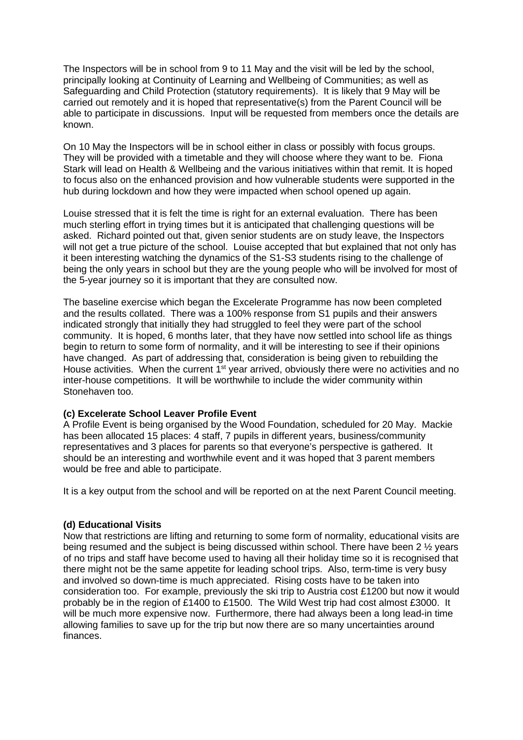The Inspectors will be in school from 9 to 11 May and the visit will be led by the school, principally looking at Continuity of Learning and Wellbeing of Communities; as well as Safeguarding and Child Protection (statutory requirements). It is likely that 9 May will be carried out remotely and it is hoped that representative(s) from the Parent Council will be able to participate in discussions. Input will be requested from members once the details are known.

On 10 May the Inspectors will be in school either in class or possibly with focus groups. They will be provided with a timetable and they will choose where they want to be. Fiona Stark will lead on Health & Wellbeing and the various initiatives within that remit. It is hoped to focus also on the enhanced provision and how vulnerable students were supported in the hub during lockdown and how they were impacted when school opened up again.

Louise stressed that it is felt the time is right for an external evaluation. There has been much sterling effort in trying times but it is anticipated that challenging questions will be asked. Richard pointed out that, given senior students are on study leave, the Inspectors will not get a true picture of the school. Louise accepted that but explained that not only has it been interesting watching the dynamics of the S1-S3 students rising to the challenge of being the only years in school but they are the young people who will be involved for most of the 5-year journey so it is important that they are consulted now.

The baseline exercise which began the Excelerate Programme has now been completed and the results collated. There was a 100% response from S1 pupils and their answers indicated strongly that initially they had struggled to feel they were part of the school community. It is hoped, 6 months later, that they have now settled into school life as things begin to return to some form of normality, and it will be interesting to see if their opinions have changed. As part of addressing that, consideration is being given to rebuilding the House activities. When the current  $1<sup>st</sup>$  year arrived, obviously there were no activities and no inter-house competitions. It will be worthwhile to include the wider community within Stonehaven too.

# **(c) Excelerate School Leaver Profile Event**

A Profile Event is being organised by the Wood Foundation, scheduled for 20 May. Mackie has been allocated 15 places: 4 staff, 7 pupils in different years, business/community representatives and 3 places for parents so that everyone's perspective is gathered. It should be an interesting and worthwhile event and it was hoped that 3 parent members would be free and able to participate.

It is a key output from the school and will be reported on at the next Parent Council meeting.

# **(d) Educational Visits**

Now that restrictions are lifting and returning to some form of normality, educational visits are being resumed and the subject is being discussed within school. There have been 2 ½ years of no trips and staff have become used to having all their holiday time so it is recognised that there might not be the same appetite for leading school trips. Also, term-time is very busy and involved so down-time is much appreciated. Rising costs have to be taken into consideration too. For example, previously the ski trip to Austria cost £1200 but now it would probably be in the region of £1400 to £1500. The Wild West trip had cost almost £3000. It will be much more expensive now. Furthermore, there had always been a long lead-in time allowing families to save up for the trip but now there are so many uncertainties around finances.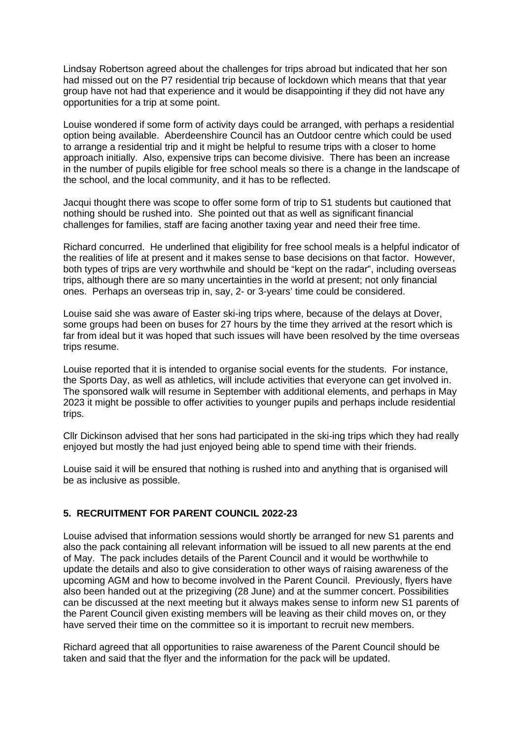Lindsay Robertson agreed about the challenges for trips abroad but indicated that her son had missed out on the P7 residential trip because of lockdown which means that that year group have not had that experience and it would be disappointing if they did not have any opportunities for a trip at some point.

Louise wondered if some form of activity days could be arranged, with perhaps a residential option being available. Aberdeenshire Council has an Outdoor centre which could be used to arrange a residential trip and it might be helpful to resume trips with a closer to home approach initially. Also, expensive trips can become divisive. There has been an increase in the number of pupils eligible for free school meals so there is a change in the landscape of the school, and the local community, and it has to be reflected.

Jacqui thought there was scope to offer some form of trip to S1 students but cautioned that nothing should be rushed into. She pointed out that as well as significant financial challenges for families, staff are facing another taxing year and need their free time.

Richard concurred. He underlined that eligibility for free school meals is a helpful indicator of the realities of life at present and it makes sense to base decisions on that factor. However, both types of trips are very worthwhile and should be "kept on the radar", including overseas trips, although there are so many uncertainties in the world at present; not only financial ones. Perhaps an overseas trip in, say, 2- or 3-years' time could be considered.

Louise said she was aware of Easter ski-ing trips where, because of the delays at Dover, some groups had been on buses for 27 hours by the time they arrived at the resort which is far from ideal but it was hoped that such issues will have been resolved by the time overseas trips resume.

Louise reported that it is intended to organise social events for the students. For instance, the Sports Day, as well as athletics, will include activities that everyone can get involved in. The sponsored walk will resume in September with additional elements, and perhaps in May 2023 it might be possible to offer activities to younger pupils and perhaps include residential trips.

Cllr Dickinson advised that her sons had participated in the ski-ing trips which they had really enjoyed but mostly the had just enjoyed being able to spend time with their friends.

Louise said it will be ensured that nothing is rushed into and anything that is organised will be as inclusive as possible.

# **5. RECRUITMENT FOR PARENT COUNCIL 2022-23**

Louise advised that information sessions would shortly be arranged for new S1 parents and also the pack containing all relevant information will be issued to all new parents at the end of May. The pack includes details of the Parent Council and it would be worthwhile to update the details and also to give consideration to other ways of raising awareness of the upcoming AGM and how to become involved in the Parent Council. Previously, flyers have also been handed out at the prizegiving (28 June) and at the summer concert. Possibilities can be discussed at the next meeting but it always makes sense to inform new S1 parents of the Parent Council given existing members will be leaving as their child moves on, or they have served their time on the committee so it is important to recruit new members.

Richard agreed that all opportunities to raise awareness of the Parent Council should be taken and said that the flyer and the information for the pack will be updated.